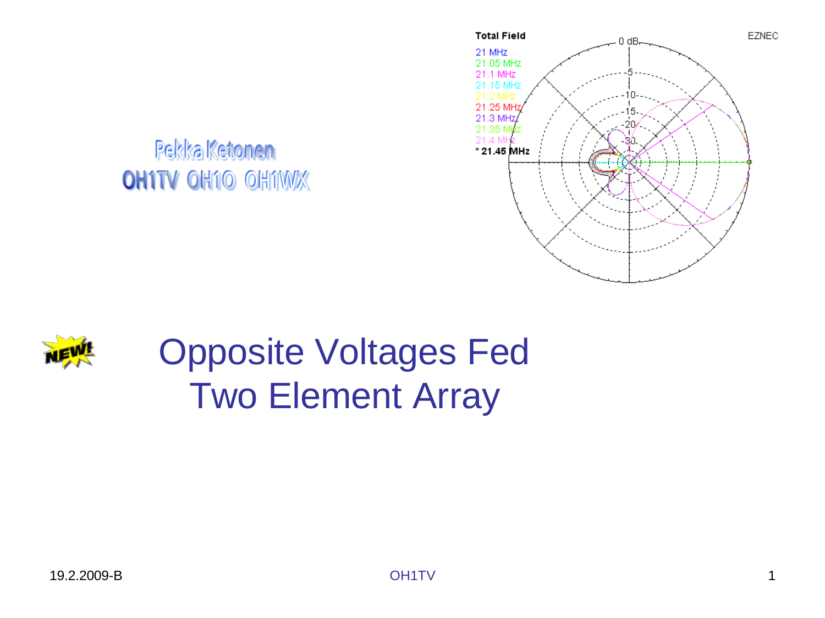

Pekka Ketonen **OH1TV OH10 OH1WX** 



## Opposite Voltages Fed Two Element Array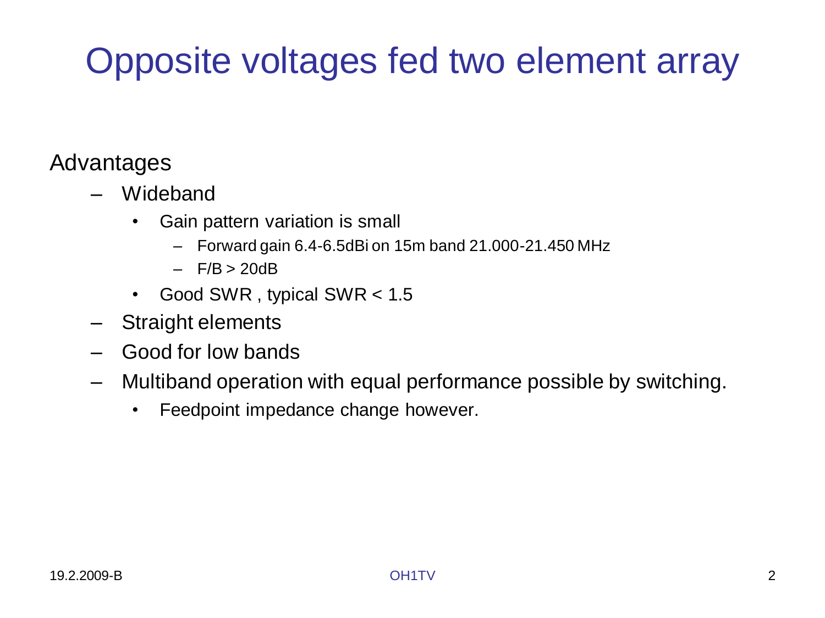# Opposite voltages fed two element array

#### Advantages

- Wideband
	- Gain pattern variation is small
		- Forward gain 6.4-6.5dBi on 15m band 21.000-21.450 MHz
		- $-$  F/B  $> 20dB$
	- Good SWR , typical SWR < 1.5
- Straight elements
- Good for low bands
- Multiband operation with equal performance possible by switching.
	- Feedpoint impedance change however.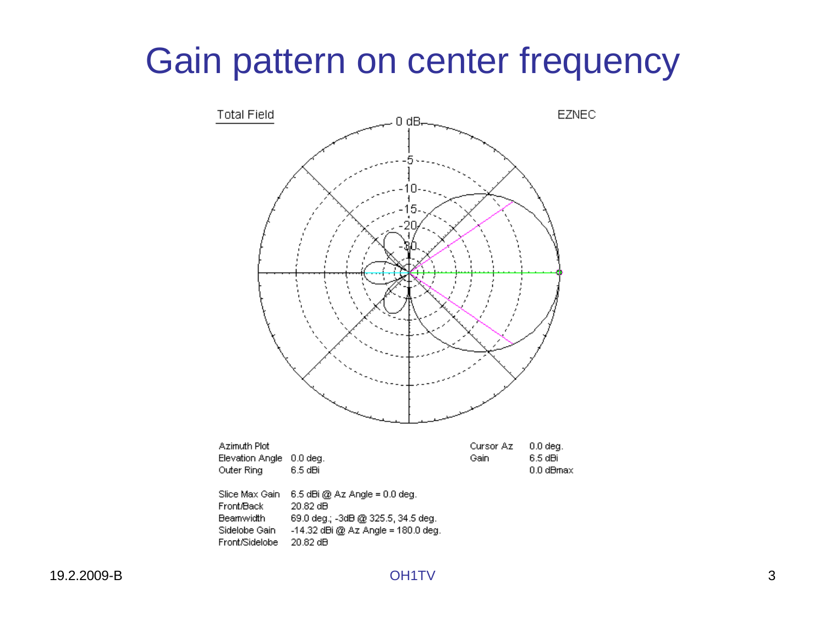## Gain pattern on center frequency

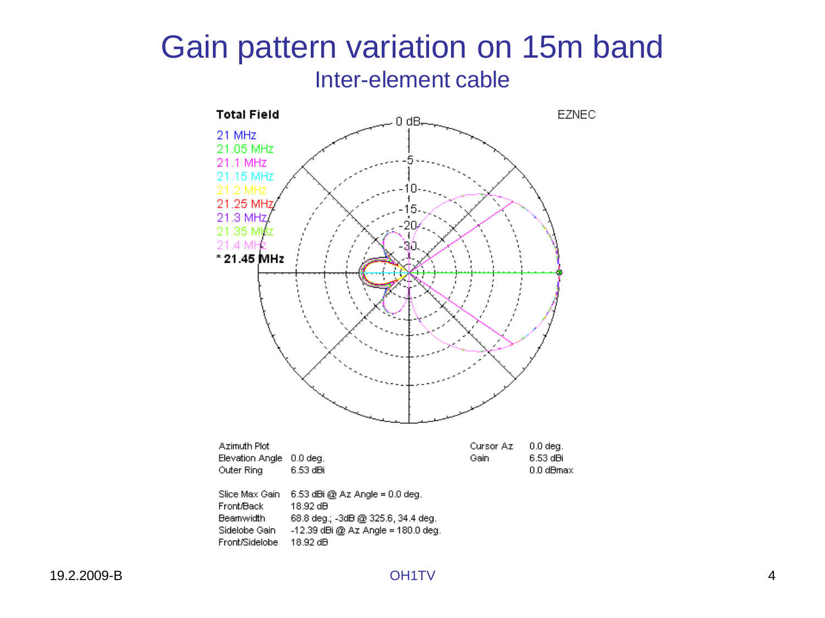#### Gain pattern variation on 15m band Inter-element cable

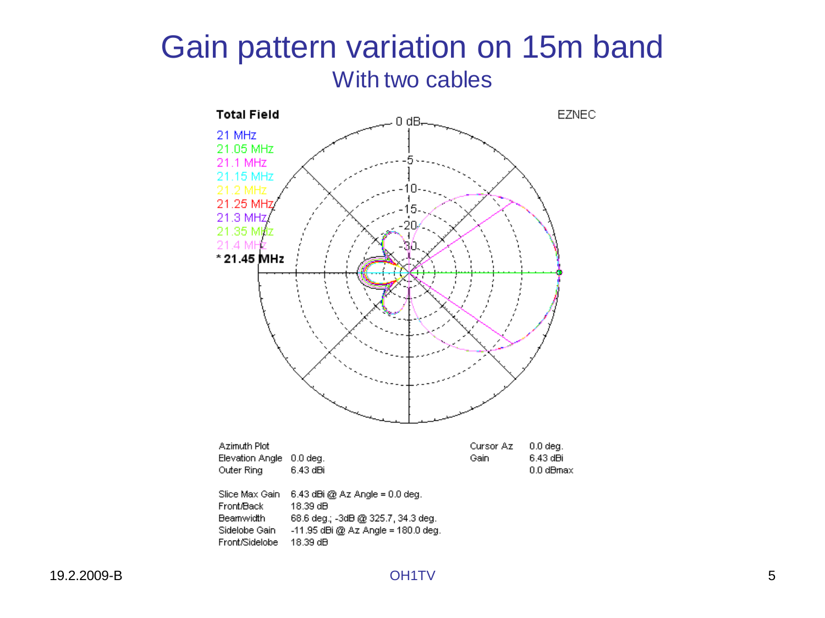#### Gain pattern variation on 15m band With two cables

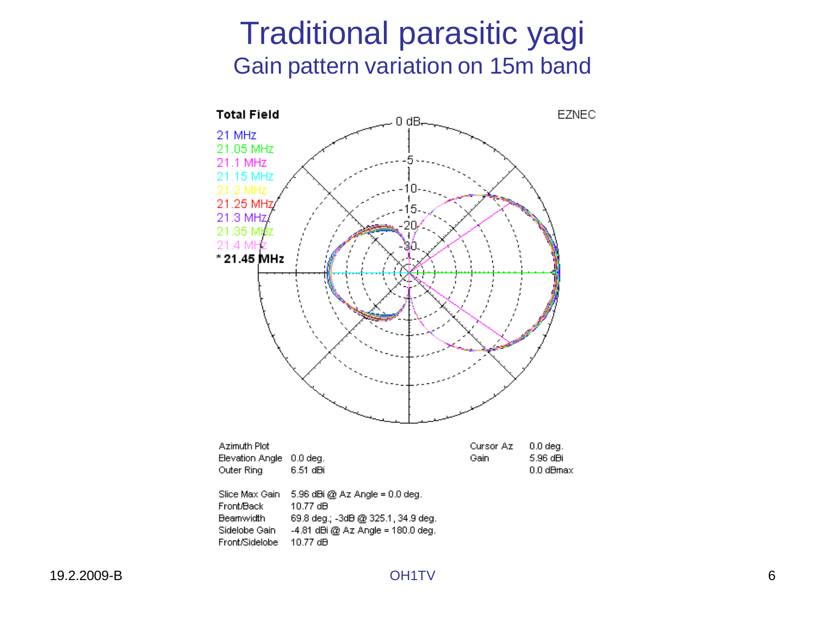#### Traditional parasitic yagi Gain pattern variation on 15m band

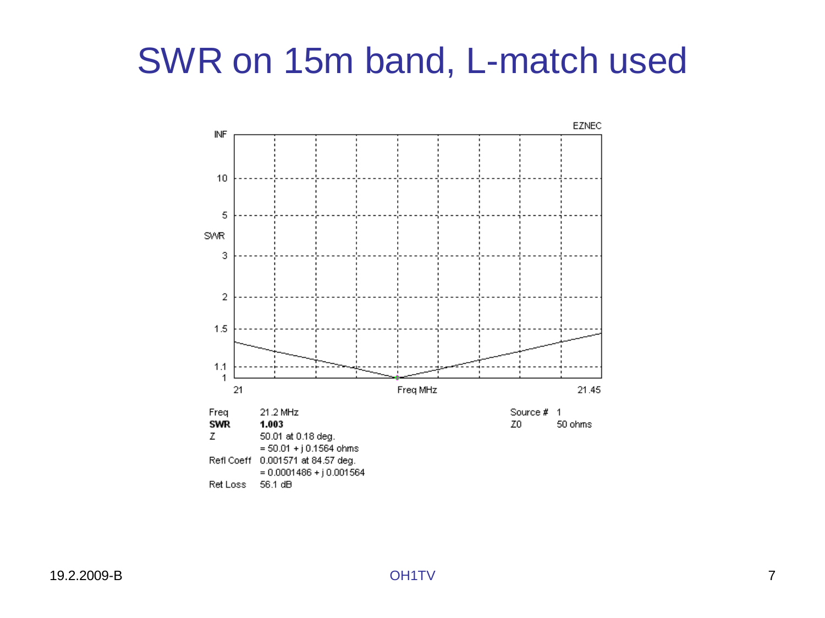## SWR on 15m band, L-match used

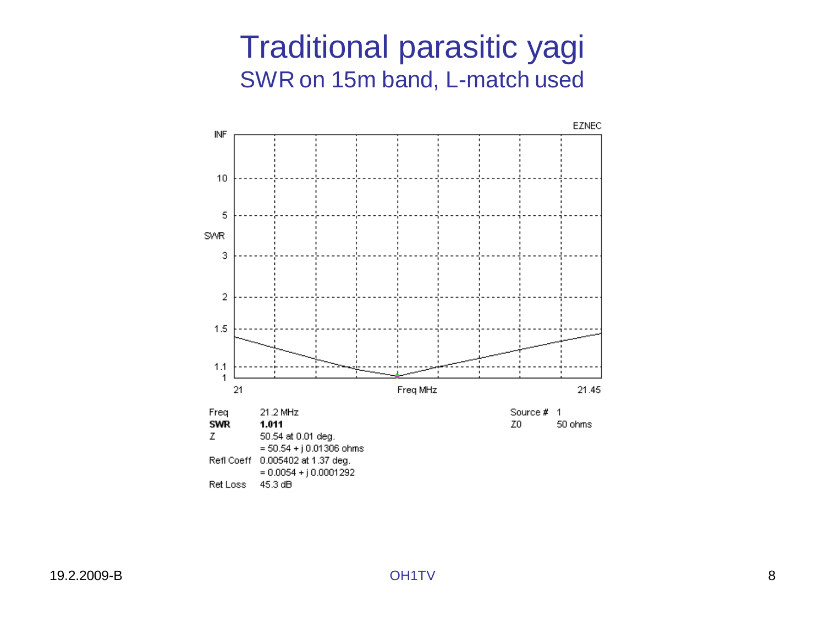#### Traditional parasitic yagi SWR on 15m band, L-match used

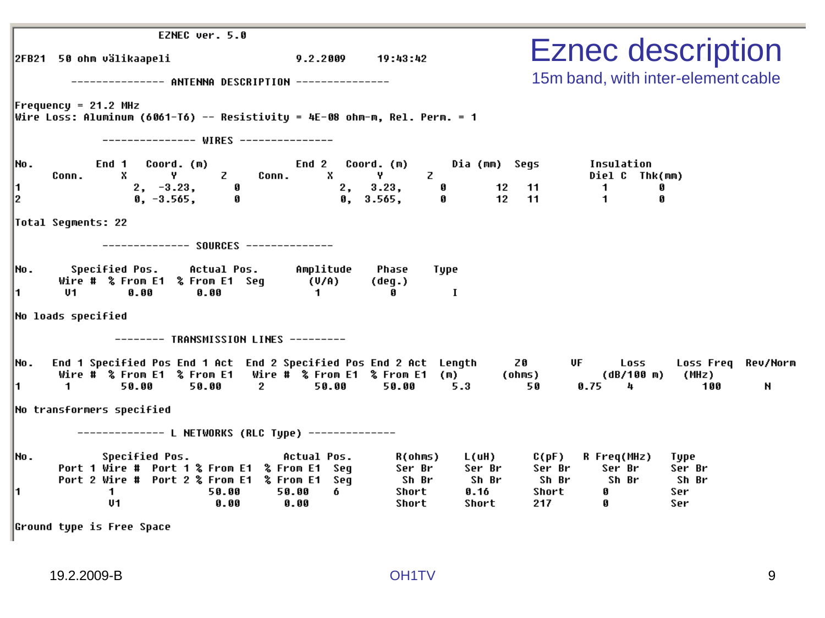|                   | EZNEC ver. 5.0                                                                                                                                               |                                   |                                                           |                                                                                         |                                                                            |                                         |
|-------------------|--------------------------------------------------------------------------------------------------------------------------------------------------------------|-----------------------------------|-----------------------------------------------------------|-----------------------------------------------------------------------------------------|----------------------------------------------------------------------------|-----------------------------------------|
|                   | 2FB21 50 ohm välikaapeli                                                                                                                                     | 9.2.2009                          | 19:43:42                                                  |                                                                                         |                                                                            | <b>Eznec description</b>                |
|                   | ------- ANTENNA DESCRIPTION ---------------                                                                                                                  |                                   |                                                           |                                                                                         |                                                                            | 15m band, with inter-element cable      |
|                   | $Frequency = 21.2 MHz$<br> Wire Loss: Aluminum (6061-T6) -- Resistivity = 4E-08 ohm-m, Rel. Perm. = 1                                                        |                                   |                                                           |                                                                                         |                                                                            |                                         |
|                   | -------------- WIRES ---------------                                                                                                                         |                                   |                                                           |                                                                                         |                                                                            |                                         |
| INO.<br>11.<br>l2 | End 1 Coord. (m)<br>$Y = Z$<br>$\mathbf{x}$<br>Conn.<br>Conn.<br>$2, -3.23, 0$<br>0, -3.565, 0                                                               | End 2<br>$\mathbf{x}$             | Coord. (m)<br>Z.<br>Y.<br>2, 3.23,<br>Ø<br>0, 3.565,<br>0 | Dia (mm) Segs<br>$\begin{array}{r}\n 12 \quad 11 \\ \hline\n 12 \quad 11\n \end{array}$ | Insulation<br>Diel C Thk(mm)<br>$\blacksquare$<br>Ø<br>$\overline{1}$<br>Ø |                                         |
|                   | Total Seqments: 22                                                                                                                                           |                                   |                                                           |                                                                                         |                                                                            |                                         |
| INO.<br>11.       | Specified Pos. Actual Pos. Amplitude<br>Wire # % From E1 % From E1 Seg (U/A)<br>V1<br>0.00<br>0.00                                                           | $\mathbf{1}$                      | Phase<br>Type<br>(deq.)<br><b>I</b><br>Ø                  |                                                                                         |                                                                            |                                         |
|                   | No loads specified                                                                                                                                           |                                   |                                                           |                                                                                         |                                                                            |                                         |
|                   | -------- TRANSMISSION LINES ---------                                                                                                                        |                                   |                                                           |                                                                                         |                                                                            |                                         |
| INO.<br>11.       | End 1 Specified Pos End 1 Act End 2 Specified Pos End 2 Act Length<br>Wire # % From E1 % From E1 Wire # % From E1 % From E1 (m)<br>1.<br>50.00<br>50.00<br>2 | 50.00                             | 50.00                                                     | <b>Z0</b><br>(ohms)<br>5.3<br>50                                                        | UF <b>DE</b><br>Loss<br>(dB/100 m)<br>0.75<br>4                            | Loss Freq Rev/Norm<br>(MHz)<br>100<br>N |
|                   | No transformers specified                                                                                                                                    |                                   |                                                           |                                                                                         |                                                                            |                                         |
|                   |                                                                                                                                                              |                                   |                                                           |                                                                                         |                                                                            |                                         |
| Mo.<br>I1.        | <b>Specified Pos.</b><br>Port 1 Wire # Port 1 % From E1 % From E1 Seg<br>Port 2 Wire # Port 2 % From E1 % From E1 Seq<br>50.00<br>$\mathbf 1$<br>U1<br>0.00  | Actual Pos.<br>6<br>50.00<br>0.00 | R(ohms)<br>Ser Br<br>Sh Br<br>Short<br>Short              | L(uH)<br>C(pF)<br>Ser Br<br>Ser Br<br>Sh Br<br>Sh Br<br>0.16<br>Short<br>Short<br>217   | R Freq(MHz)<br>Ser Br<br>Sh Br<br>Ø<br>Ø                                   | Type<br>Ser Br<br>Sh Br<br>Ser<br>Ser   |

 $\left\|$ Ground type is Free Space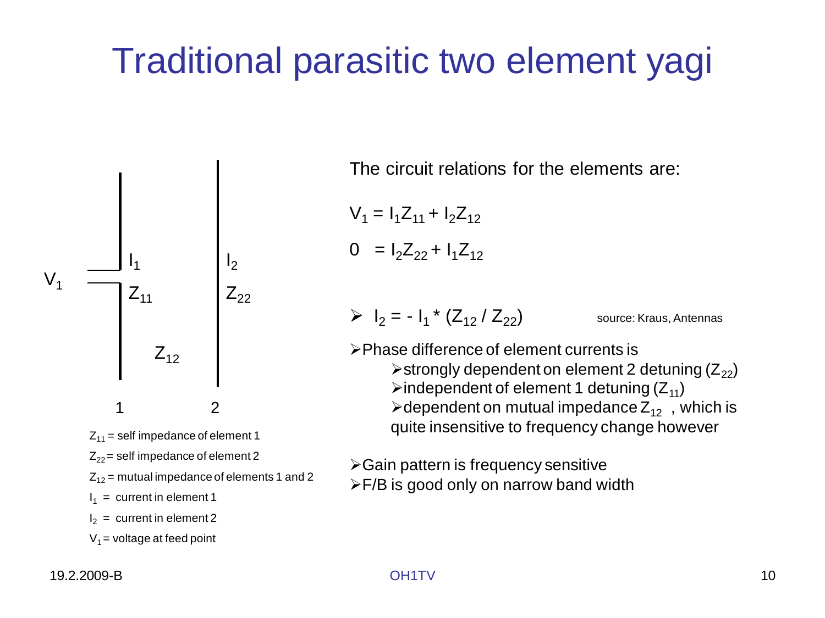## Traditional parasitic two element yagi



The circuit relations for the elements are:

$$
V_1 = I_1 Z_{11} + I_2 Z_{12}
$$
  
0 = I<sub>2</sub>Z<sub>22</sub> + I<sub>1</sub>Z<sub>12</sub>

 $\triangleright$   $I_2 = -I_1 * (Z_{12} / Z_{22})$  source: Kraus, Antennas

Phase difference of element currents is  $\triangleright$  strongly dependent on element 2 detuning ( $Z_{22}$ )  $\triangleright$  independent of element 1 detuning ( $Z_{11}$ )  $\triangleright$  dependent on mutual impedance  $Z_{12}$ , which is quite insensitive to frequency change however

 $\triangleright$  Gain pattern is frequency sensitive

F/B is good only on narrow band width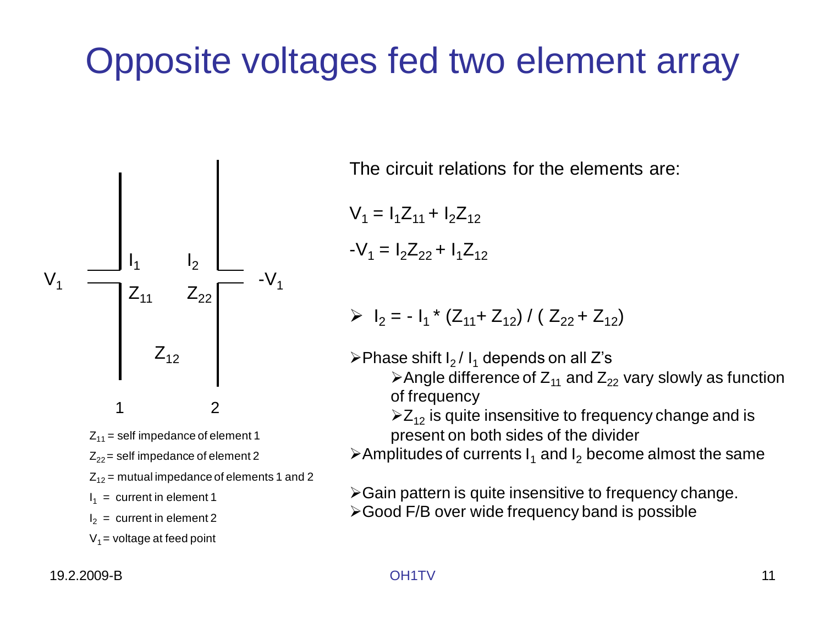## Opposite voltages fed two element array



 $I_2$  = current in element 2

 $V_1$  = voltage at feed point

The circuit relations for the elements are:

$$
V_1 = I_1 Z_{11} + I_2 Z_{12}
$$

$$
-V_1 = I_2 Z_{22} + I_1 Z_{12}
$$

$$
|P_1| = -1_1 * (Z_{11} + Z_{12}) / (Z_{22} + Z_{12})
$$

 $\triangleright$ Phase shift I<sub>2</sub> / I<sub>1</sub> depends on all Z's

 $\triangleright$  Angle difference of  $Z_{11}$  and  $Z_{22}$  vary slowly as function of frequency

 $\geq Z_{12}$  is quite insensitive to frequency change and is present on both sides of the divider

 $\triangleright$  Amplitudes of currents  $I_1$  and  $I_2$  become almost the same

 $\triangleright$  Gain pattern is quite insensitive to frequency change.

Good F/B over wide frequency band is possible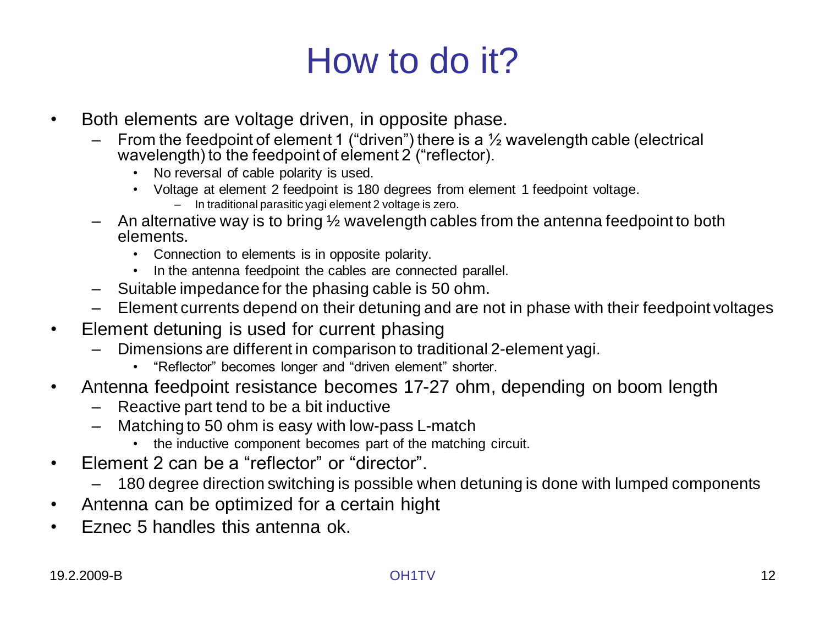## How to do it?

- Both elements are voltage driven, in opposite phase.
	- From the feedpoint of element 1 ("driven") there is a  $\frac{1}{2}$  wavelength cable (electrical wavelength) to the feedpoint of element 2 ("reflector).
		- No reversal of cable polarity is used.
		- Voltage at element 2 feedpoint is 180 degrees from element 1 feedpoint voltage.
			- In traditional parasitic yagi element 2 voltage is zero.
	- $-$  An alternative way is to bring  $\frac{1}{2}$  wavelength cables from the antenna feedpoint to both elements.
		- Connection to elements is in opposite polarity.
		- In the antenna feedpoint the cables are connected parallel.
	- Suitable impedance for the phasing cable is 50 ohm.
	- Element currents depend on their detuning and are not in phase with their feedpoint voltages
- Element detuning is used for current phasing
	- Dimensions are different in comparison to traditional 2-element yagi.
		- "Reflector" becomes longer and "driven element" shorter.
- Antenna feedpoint resistance becomes 17-27 ohm, depending on boom length
	- Reactive part tend to be a bit inductive
	- Matching to 50 ohm is easy with low-pass L-match
		- the inductive component becomes part of the matching circuit.
- Element 2 can be a "reflector" or "director".
	- 180 degree direction switching is possible when detuning is done with lumped components
- Antenna can be optimized for a certain hight
- Eznec 5 handles this antenna ok.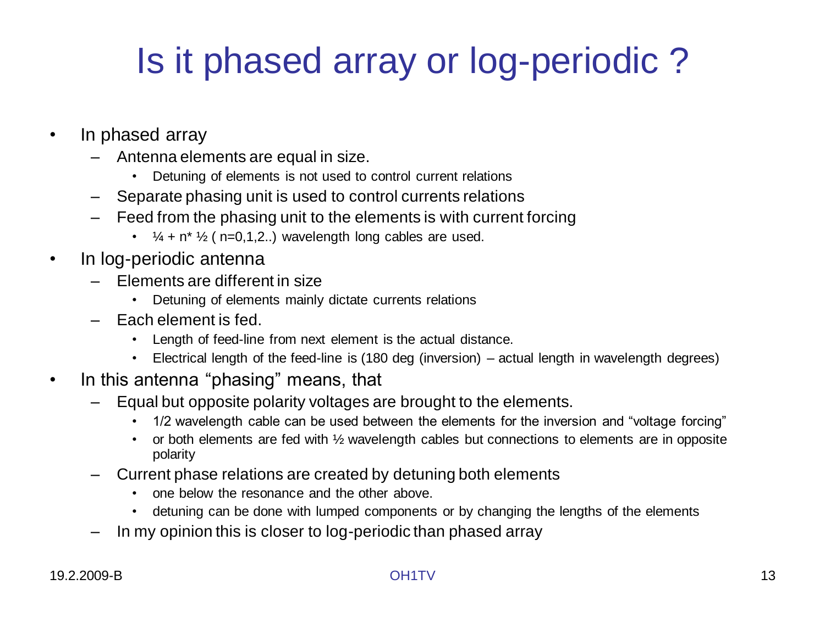# Is it phased array or log-periodic ?

- In phased array
	- Antenna elements are equal in size.
		- Detuning of elements is not used to control current relations
	- Separate phasing unit is used to control currents relations
	- Feed from the phasing unit to the elements is with current forcing
		- $\frac{1}{4}$  + n<sup>\*</sup>  $\frac{1}{2}$  ( n=0,1,2..) wavelength long cables are used.
- In log-periodic antenna
	- Elements are different in size
		- Detuning of elements mainly dictate currents relations
	- Each element is fed.
		- Length of feed-line from next element is the actual distance.
		- Electrical length of the feed-line is (180 deg (inversion) actual length in wavelength degrees)
- In this antenna "phasing" means, that
	- Equal but opposite polarity voltages are brought to the elements.
		- 1/2 wavelength cable can be used between the elements for the inversion and "voltage forcing"
		- or both elements are fed with 1/2 wavelength cables but connections to elements are in opposite polarity
	- Current phase relations are created by detuning both elements
		- one below the resonance and the other above.
		- detuning can be done with lumped components or by changing the lengths of the elements
	- In my opinion this is closer to log-periodic than phased array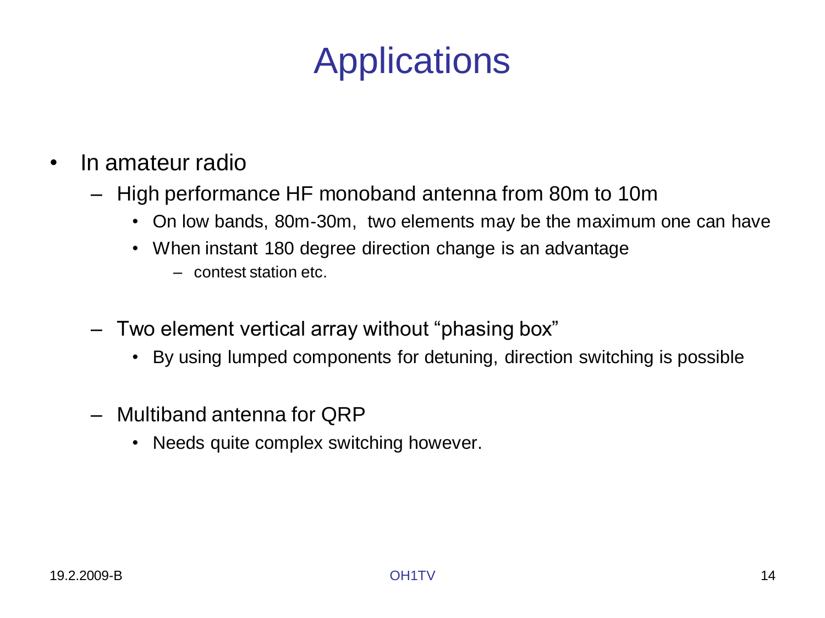## **Applications**

- In amateur radio
	- High performance HF monoband antenna from 80m to 10m
		- On low bands, 80m-30m, two elements may be the maximum one can have
		- When instant 180 degree direction change is an advantage
			- contest station etc.
	- Two element vertical array without "phasing box"
		- By using lumped components for detuning, direction switching is possible
	- Multiband antenna for QRP
		- Needs quite complex switching however.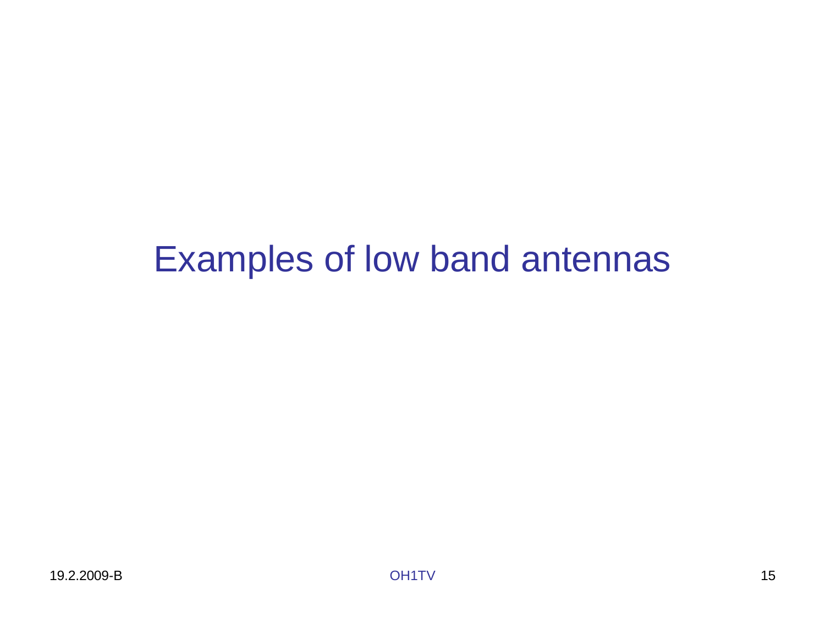## Examples of low band antennas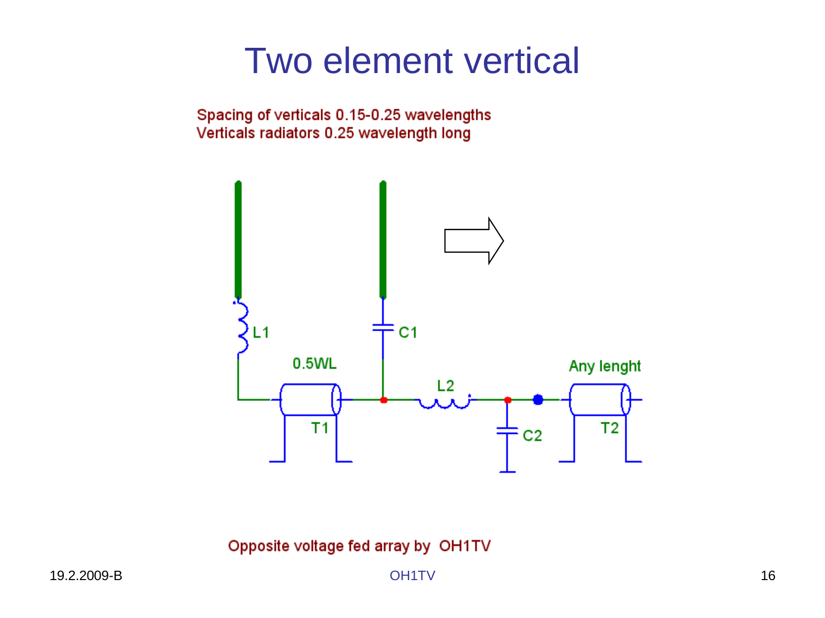### Two element vertical

Spacing of verticals 0.15-0.25 wavelengths Verticals radiators 0.25 wavelength long



Opposite voltage fed array by OH1TV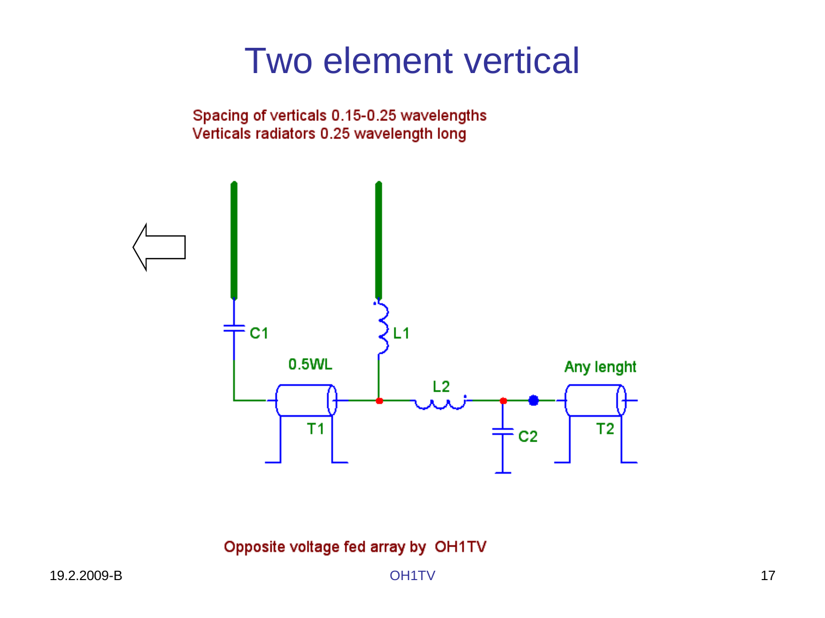### Two element vertical

Spacing of verticals 0.15-0.25 wavelengths Verticals radiators 0.25 wavelength long



Opposite voltage fed array by OH1TV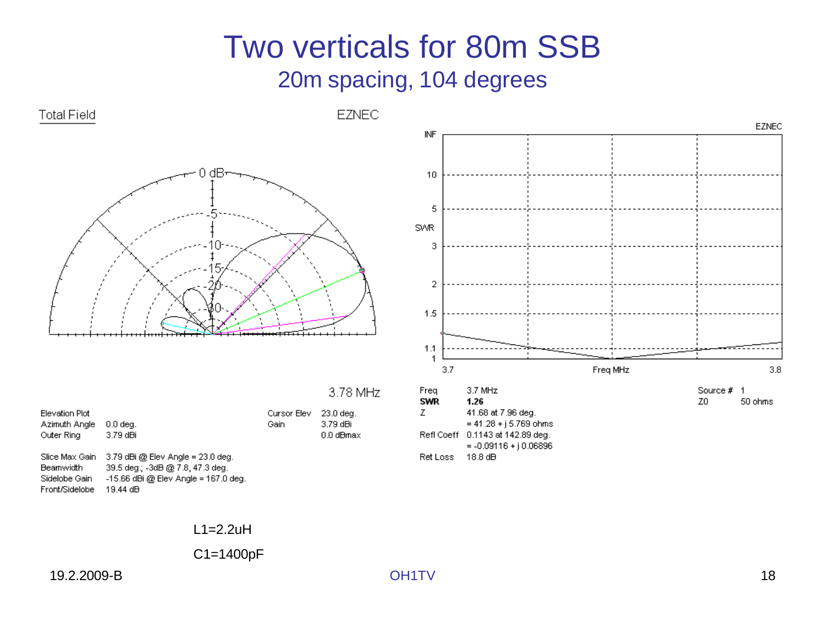#### Two verticals for 80m SSB 20m spacing, 104 degrees



|  | 3.78 MHz |  |
|--|----------|--|
|  |          |  |

| Elevation Plot<br>Azimuth Angle<br>Outer Ring       | $0.0$ deg.<br>3.79 dBi                                                                                              | Cursor Elev<br>Gain | 23.0 deg.<br>3.79 dBi<br>0.0 dBmax |
|-----------------------------------------------------|---------------------------------------------------------------------------------------------------------------------|---------------------|------------------------------------|
| Slice Max Gain<br><b>Beamwidth</b><br>Sidelobe Gain | $3.79$ dBi @ Elev Angle = $23.0$ deg.<br>39.5 deg.; -3dB @ 7.8, 47.3 deg.<br>$-15.66$ dBi @ Elev Angle = 167.0 deg. |                     |                                    |
| Front/Sidelobe                                      | 19.44 dB                                                                                                            |                     |                                    |



Ret Loss 18.8 dB

L1=2.2uH

C1=1400pF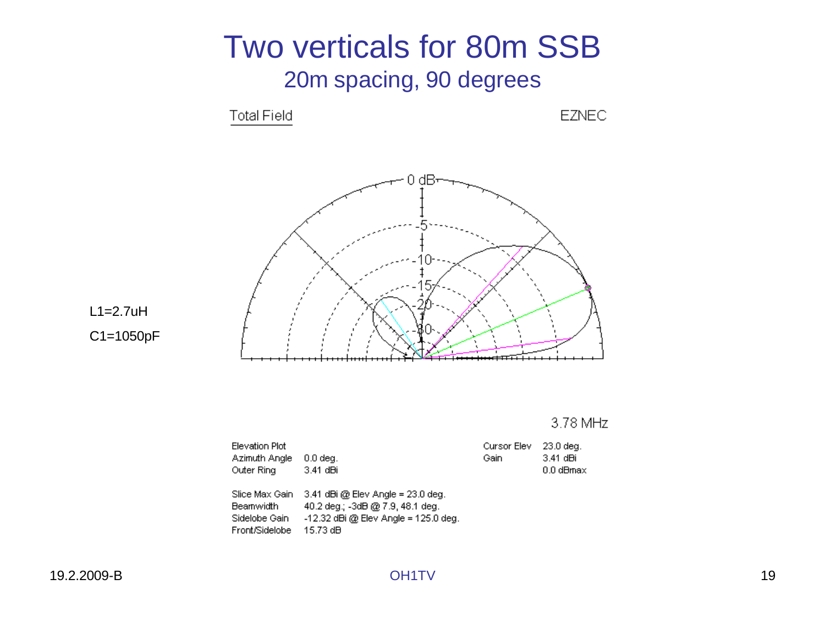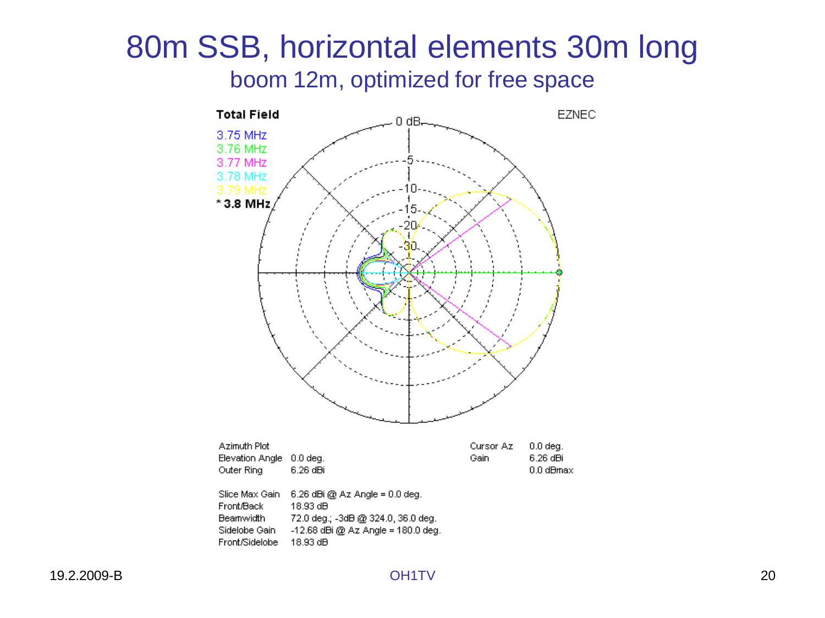#### 80m SSB, horizontal elements 30m long boom 12m, optimized for free space

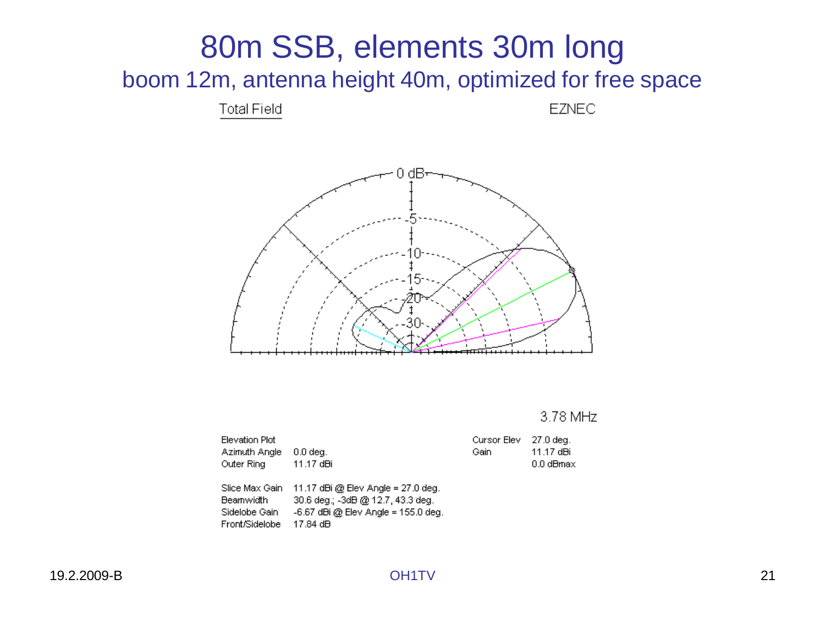#### 80m SSB, elements 30m long boom 12m, antenna height 40m, optimized for free space

**Total Field** 

**EZNEC** 



3.78 MHz

11.17 dBi 0.0 dBmax

| Elevation Plot<br>Azimuth Angle<br>Outer Ring                         | $0.0$ dea.<br>11.17 dBi                                                                                                        | Cursor Elev<br>Gain | 27.0 deg.<br>11.17 dBi<br>0.0 dBma |
|-----------------------------------------------------------------------|--------------------------------------------------------------------------------------------------------------------------------|---------------------|------------------------------------|
| Slice Max Gain<br><b>Beamwidth</b><br>Sidelobe Gain<br>Front/Sidelobe | $11.17$ dBi @ Elev Angle = 27.0 deg.<br>30.6 deg.; -3dB @ 12.7, 43.3 deg.<br>$-6.67$ dBi @ Elev Angle = 155.0 deg.<br>17.84 dB |                     |                                    |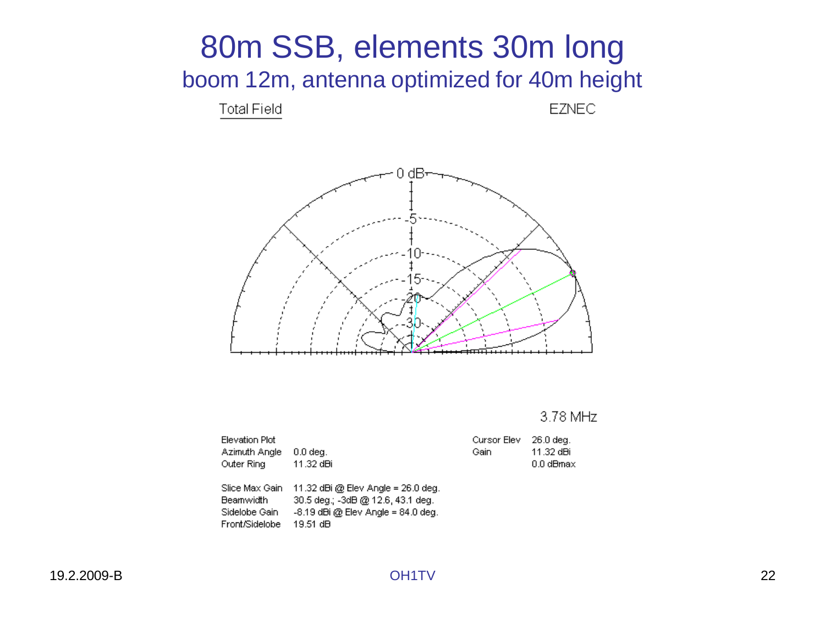

Front/Sidelobe 19.51 dB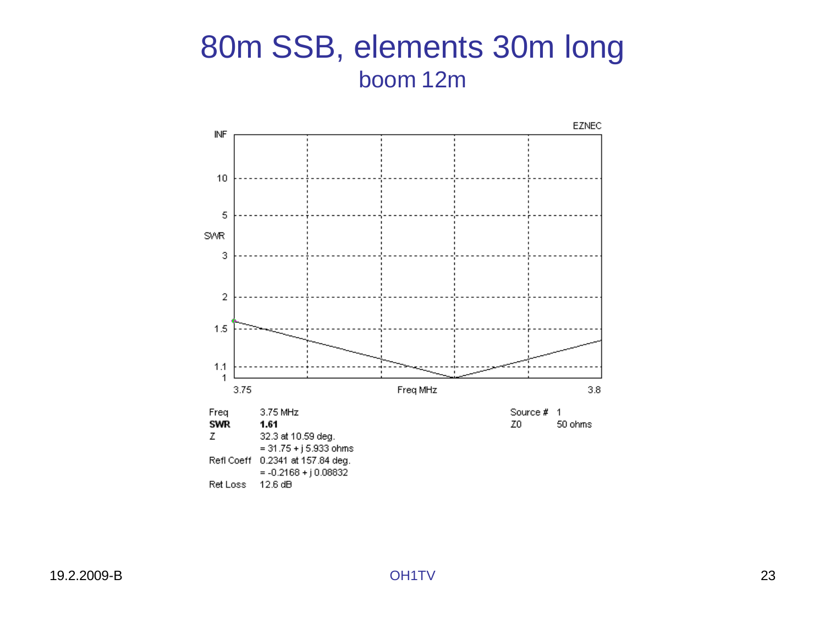#### 80m SSB, elements 30m long boom 12m

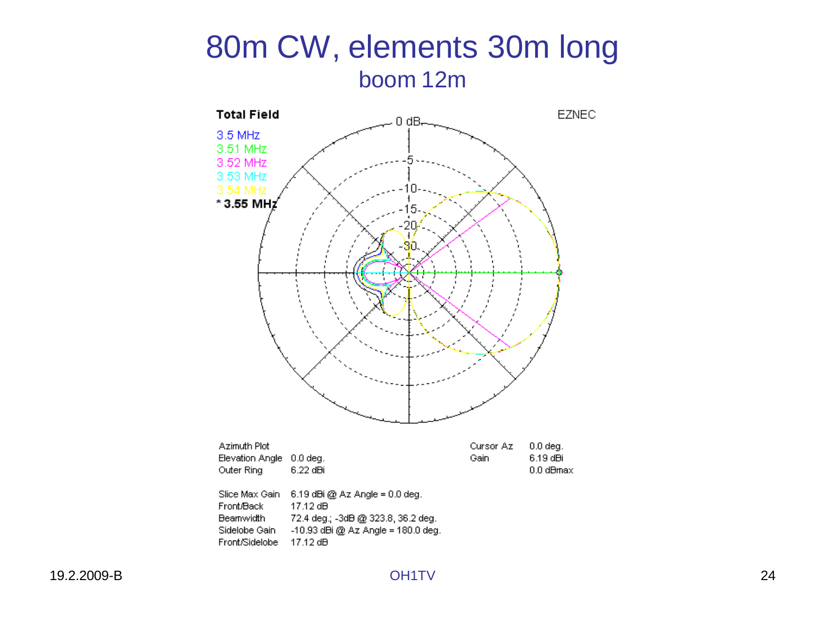#### 80m CW, elements 30m long boom 12m

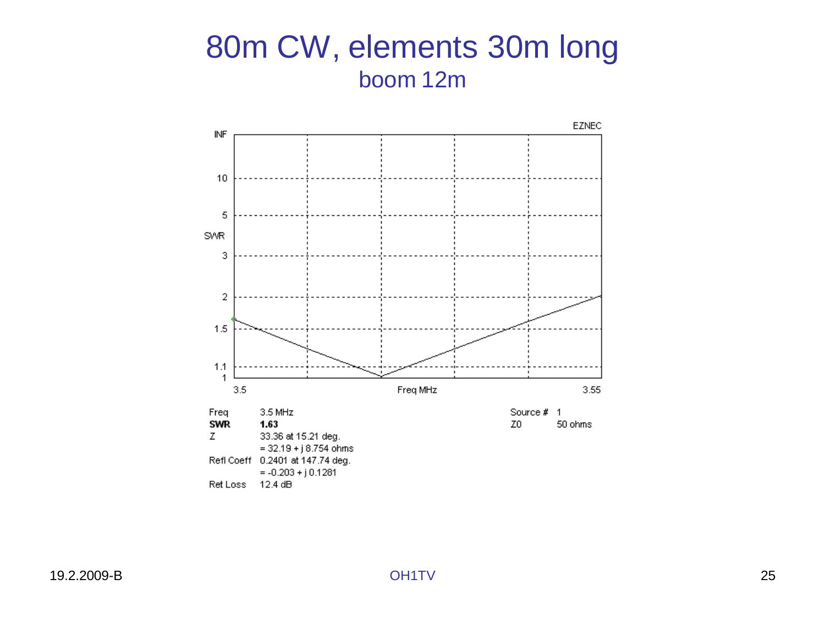#### 80m CW, elements 30m long boom 12m

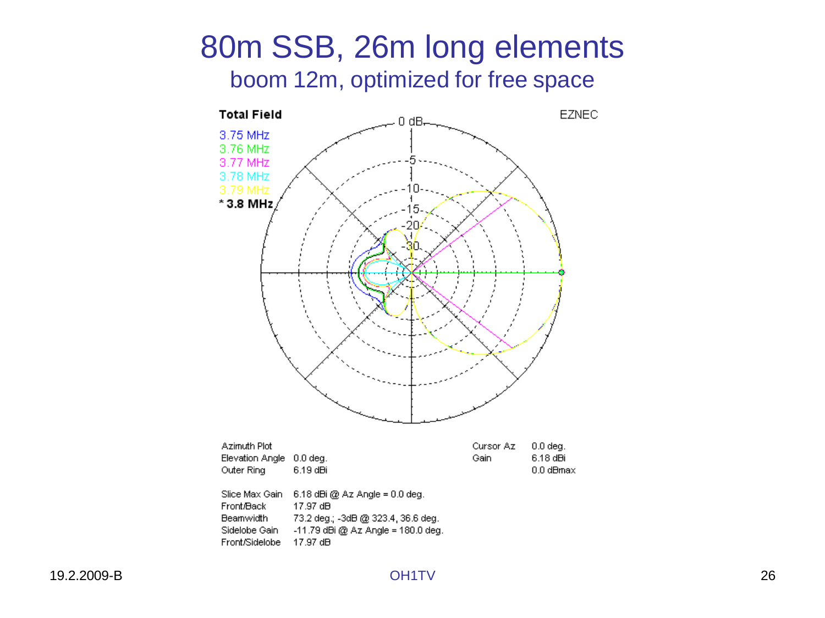#### 80m SSB, 26m long elements boom 12m, optimized for free space

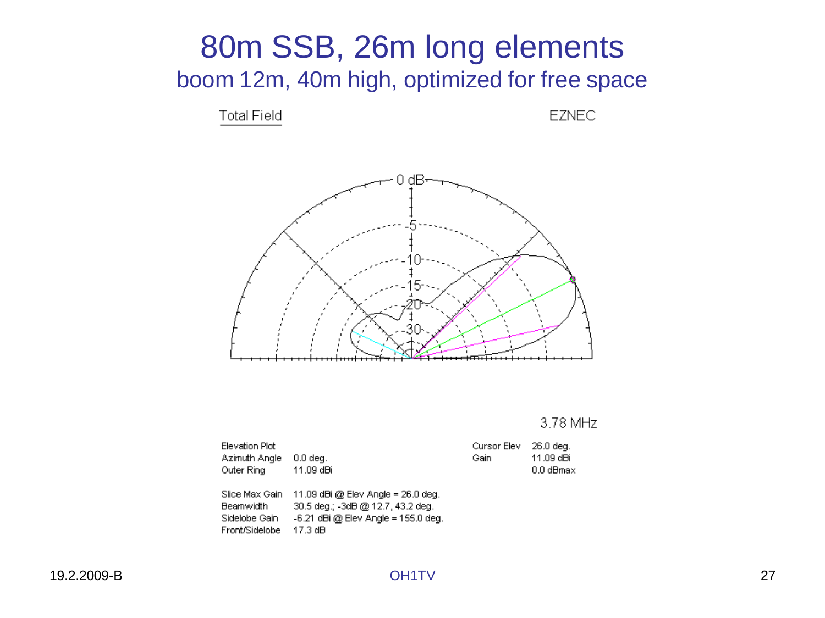#### 80m SSB, 26m long elements boom 12m, 40m high, optimized for free space

**Total Field** 

**EZNEC** 



3.78 MHz

| Elevation Plot |                                                      | Cursor Elev 26.0 deg. |             |
|----------------|------------------------------------------------------|-----------------------|-------------|
| Azimuth Angle  | $0.0$ deg.                                           | Gain.                 | 11.09 dBi   |
| Outer Ring     | 11.09 dBi                                            |                       | $0.0$ dBmax |
|                | Slice Max Gain $-11.09$ dBi @ Elev Angle = 26.0 deg. |                       |             |

Beamwidth 30.5 deg.; -3dB @ 12.7, 43.2 deg. Sidelobe Gain - -6.21 dBi @ Elev Angle = 155.0 deg. Front/Sidelobe 17.3 dB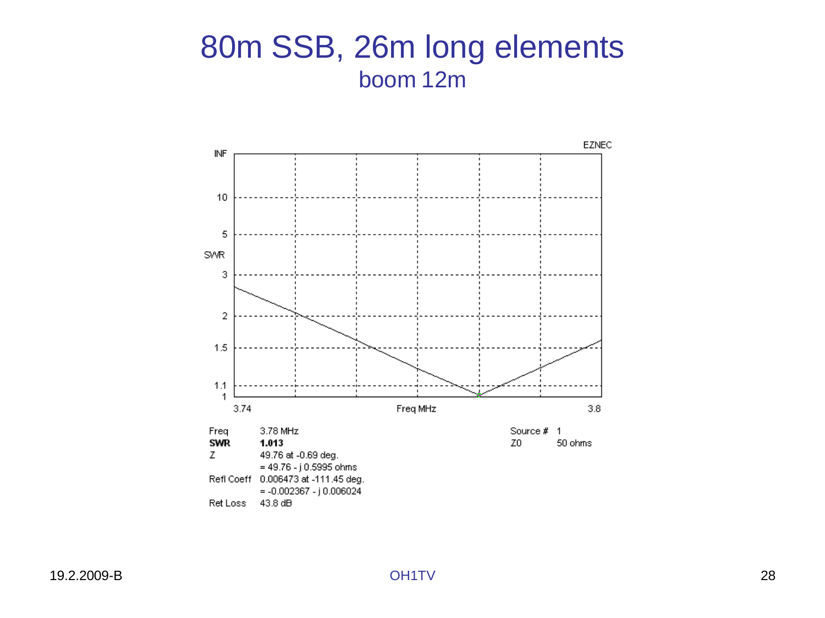#### 80m SSB, 26m long elements boom 12m

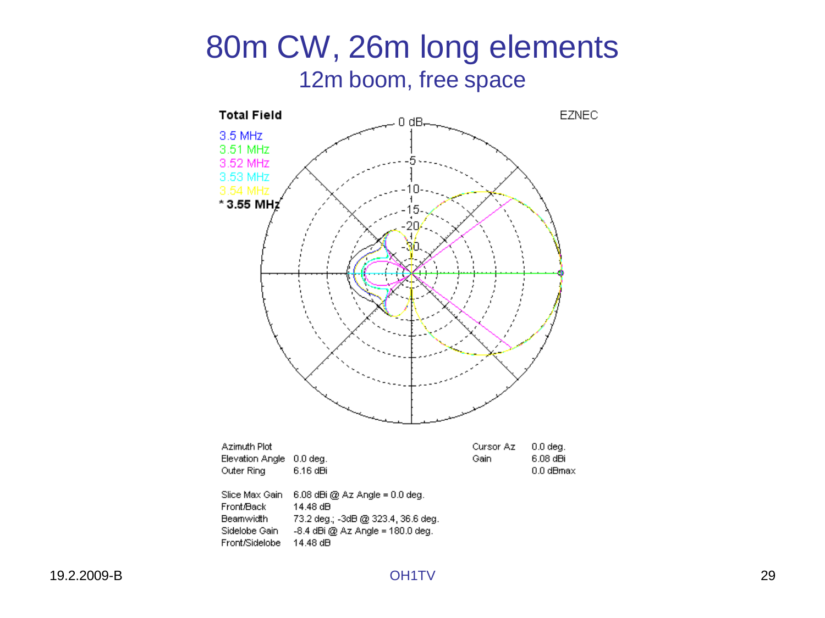#### 80m CW, 26m long elements 12m boom, free space

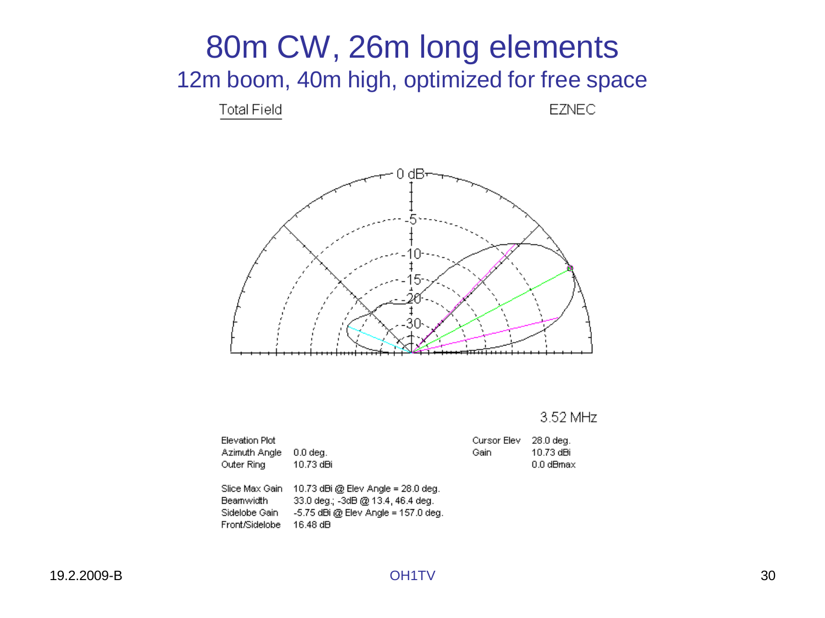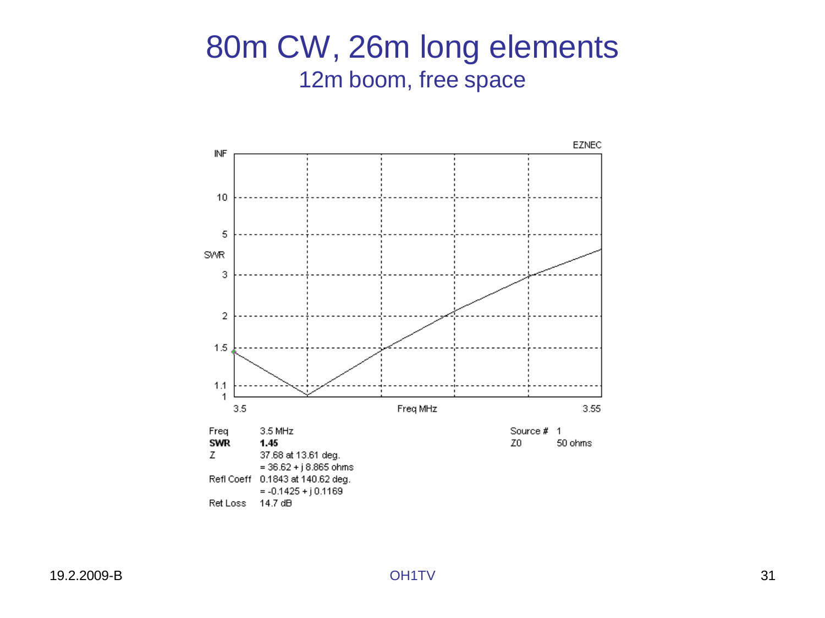#### 80m CW, 26m long elements 12m boom, free space

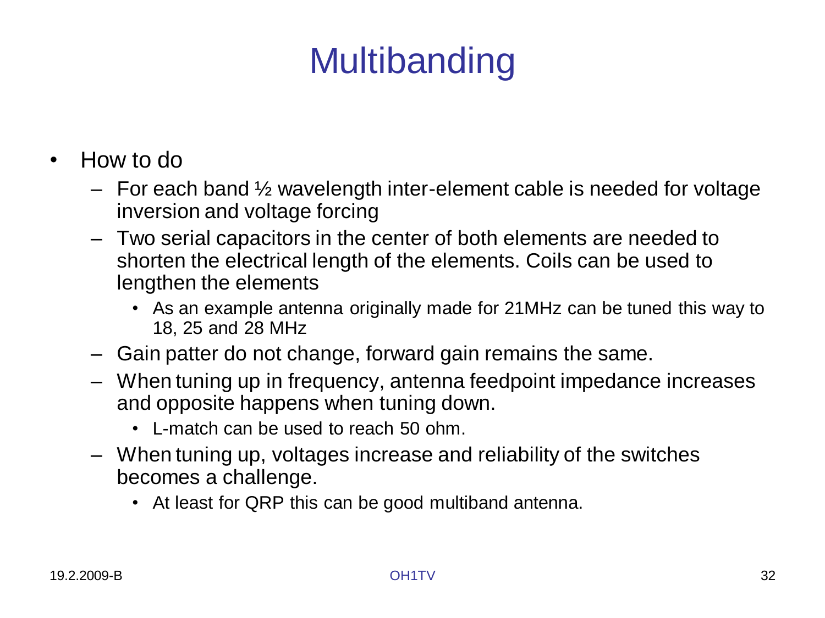# **Multibanding**

- How to do
	- $-$  For each band  $\frac{1}{2}$  wavelength inter-element cable is needed for voltage inversion and voltage forcing
	- Two serial capacitors in the center of both elements are needed to shorten the electrical length of the elements. Coils can be used to lengthen the elements
		- As an example antenna originally made for 21MHz can be tuned this way to 18, 25 and 28 MHz
	- Gain patter do not change, forward gain remains the same.
	- When tuning up in frequency, antenna feedpoint impedance increases and opposite happens when tuning down.
		- L-match can be used to reach 50 ohm.
	- When tuning up, voltages increase and reliability of the switches becomes a challenge.
		- At least for QRP this can be good multiband antenna.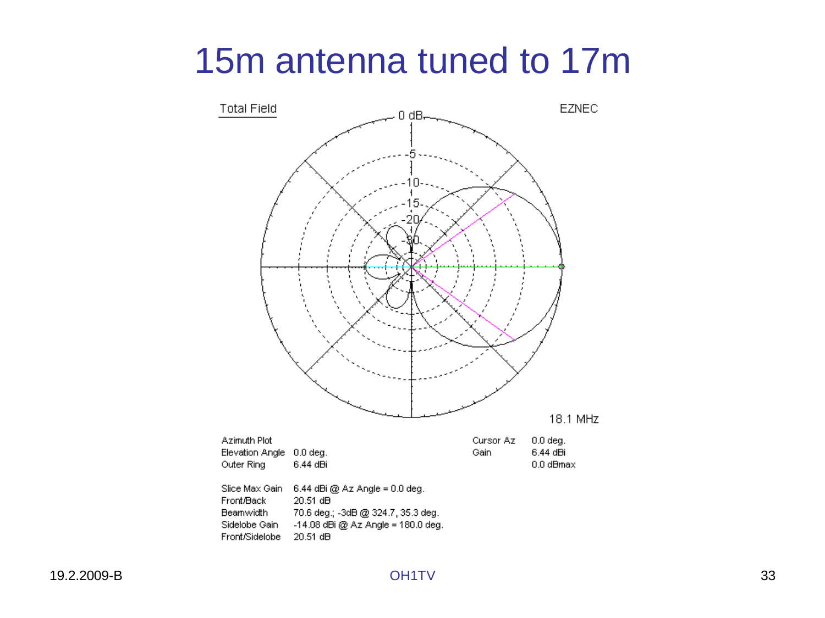## 15m antenna tuned to 17m

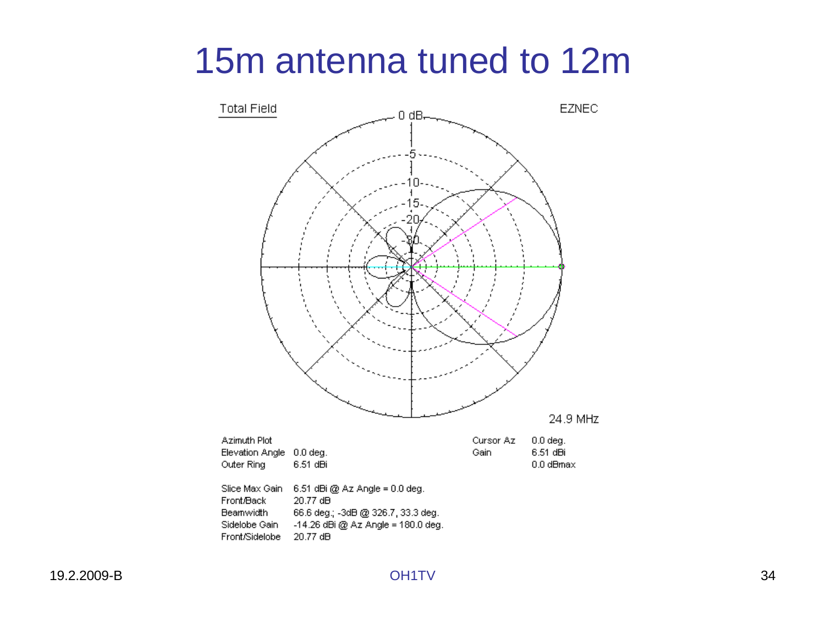## 15m antenna tuned to 12m

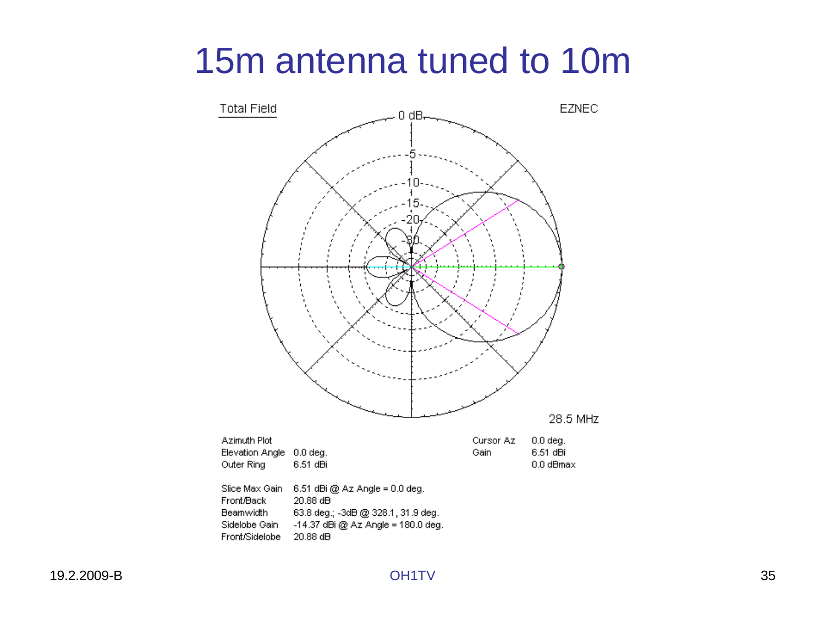## 15m antenna tuned to 10m